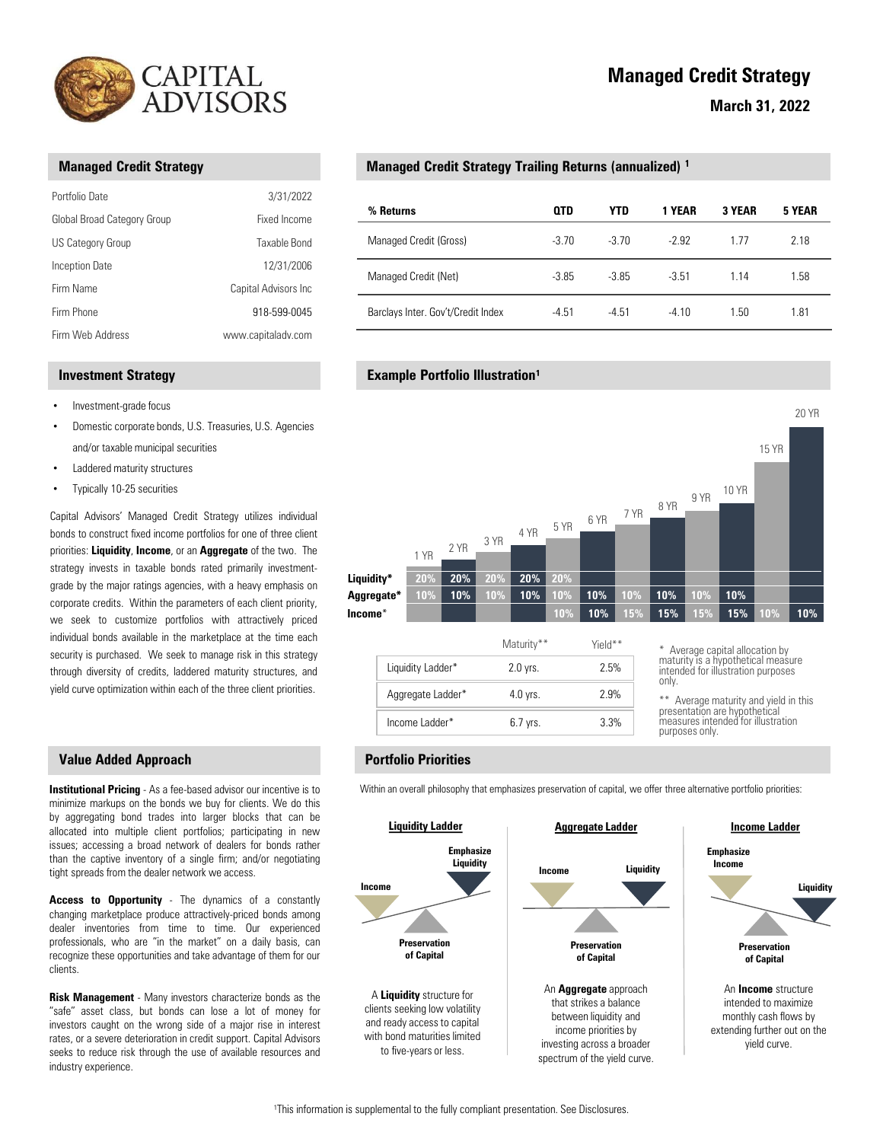

|                                                         | CAPITAL<br><b>ADVISORS</b><br><b>Managed Credit Strategy Traili</b><br>3/31/2022<br>% Returns<br>Fixed Income<br>Managed Credit (Gross)<br>Taxable Bond |                                                   |  |  |  |
|---------------------------------------------------------|---------------------------------------------------------------------------------------------------------------------------------------------------------|---------------------------------------------------|--|--|--|
| <b>Managed Credit Strategy</b>                          |                                                                                                                                                         |                                                   |  |  |  |
| Portfolio Date                                          |                                                                                                                                                         |                                                   |  |  |  |
| Global Broad Category Group<br><b>US Category Group</b> |                                                                                                                                                         |                                                   |  |  |  |
| <b>Inception Date</b><br>Firm Name                      | 12/31/2006<br>Capital Advisors Inc                                                                                                                      | Managed Credit (Net)                              |  |  |  |
| Firm Phone                                              | 918-599-0045                                                                                                                                            | Barclays Inter. Gov't/Credit Index                |  |  |  |
| Firm Web Address                                        | www.capitaladv.com                                                                                                                                      |                                                   |  |  |  |
| <b>Investment Strategy</b>                              |                                                                                                                                                         | <b>Example Portfolio Illustration<sup>1</sup></b> |  |  |  |
|                                                         |                                                                                                                                                         |                                                   |  |  |  |

# Managed Credit Strategy Trailing Returns (annualized) 1 Managed Credit Strategy Trailing Returns (annualized)

|                                | CAPITAL<br>ADVISORS  |                                                                    |            |            | <b>Managed Credit Strategy</b> |                       |              |  |
|--------------------------------|----------------------|--------------------------------------------------------------------|------------|------------|--------------------------------|-----------------------|--------------|--|
|                                |                      |                                                                    |            |            |                                | <b>March 31, 2022</b> |              |  |
|                                |                      |                                                                    |            |            |                                |                       |              |  |
| <b>Managed Credit Strategy</b> |                      | Managed Credit Strategy Trailing Returns (annualized) <sup>1</sup> |            |            |                                |                       |              |  |
| Portfolio Date                 | 3/31/2022            | % Returns                                                          | <b>QTD</b> | <b>YTD</b> | 1 YEAR                         | 3 YEAR                | 5 YEAR       |  |
| Global Broad Category Group    | Fixed Income         |                                                                    |            |            |                                |                       |              |  |
| US Category Group              | Taxable Bond         | Managed Credit (Gross)                                             | $-3.70$    | $-3.70$    | $-2.92$                        | 1.77                  | 2.18         |  |
| Inception Date                 | 12/31/2006           | Managed Credit (Net)                                               | $-3.85$    | $-3.85$    | $-3.51$                        | 1.14                  | 1.58         |  |
| Firm Name                      | Capital Advisors Inc |                                                                    |            |            |                                |                       |              |  |
| Firm Phone                     | 918-599-0045         | Barclays Inter. Gov't/Credit Index                                 | $-4.51$    | $-4.51$    | $-4.10$                        | 1.50                  | 1.81         |  |
| Firm Web Address               | www.capitaladv.com   |                                                                    |            |            |                                |                       |              |  |
| <b>Investment Strategy</b>     |                      | <b>Example Portfolio Illustration<sup>1</sup></b>                  |            |            |                                |                       |              |  |
|                                |                      |                                                                    |            |            |                                |                       |              |  |
| Investment-grade focus         |                      |                                                                    |            |            |                                |                       | <b>20 YR</b> |  |

## **Example Portfolio Illustration<sup>1</sup>**



|                   | Maturity** | Yield** | * Average capital allocation by<br>maturity is a hypothetical measure                |
|-------------------|------------|---------|--------------------------------------------------------------------------------------|
| Liquidity Ladder* | 2.0 vrs.   | 2.5%    | intended for illustration purposes<br>only.                                          |
| Aggregate Ladder* | $4.0$ vrs. | 2.9%    | ** Average maturity and yield in this                                                |
| Income Ladder*    | 6.7 vrs.   | 3.3%    | presentation are hypothetical<br>measures intended for illustration<br>nurnoses only |

purposes only. imeasures intended for illustration

## Portfolio Priorities

Within an overall philosophy that emphasizes preservation of capital, we offer three alternative portfolio priorities:



<sup>1</sup>This information is supplemental to the fully compliant presentation. See Disclosures.

## • Investment-grade focus

- Domestic corporate bonds, U.S. Treasuries, U.S. Agencies and/or taxable municipal securities
- Laddered maturity structures
- 

### Value Added Approach

clients.

# Managed Credit Strategy

## March 31, 2022